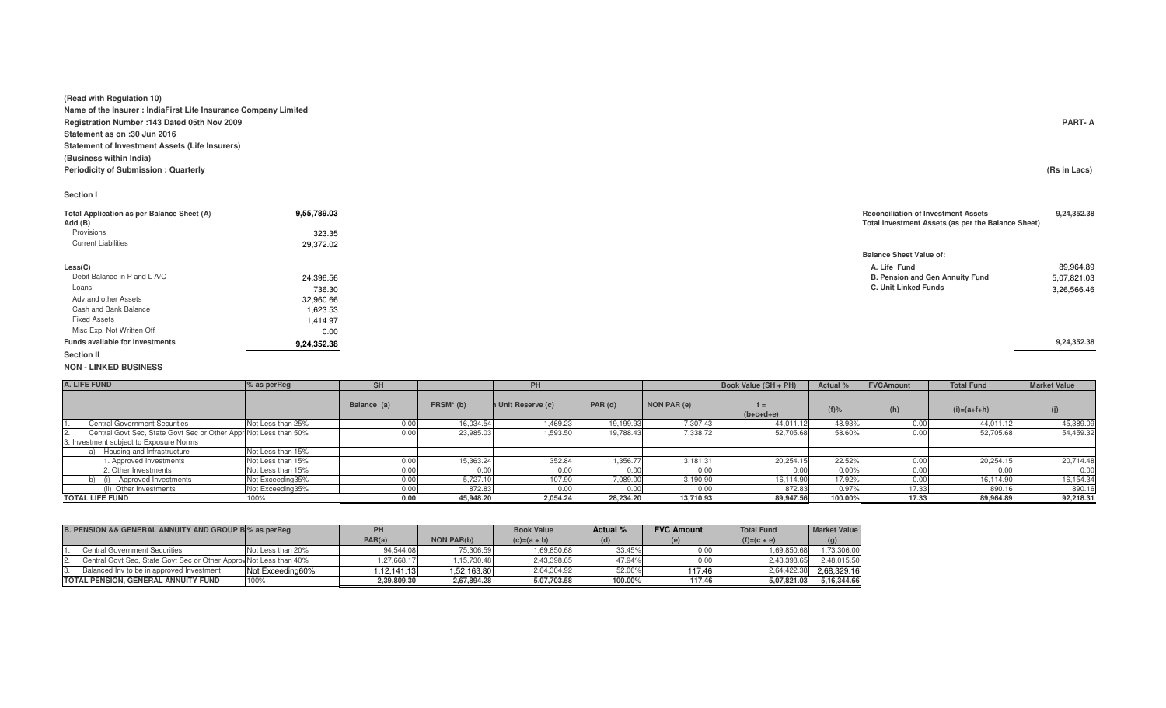**(Read with Regulation 10)**

 **Name of the Insurer : IndiaFirst Life Insurance Company LimitedRegistration Number :143 Dated 05th Nov 2009 PART- AStatement as on :30 Jun 2016 Statement of Investment Assets (Life Insurers)(Business within India) Periodicity of Submission : Quarterly(Rs in Lacs)** 

## **Section I**

| Total Application as per Balance Sheet (A)<br>Add (B) | 9,55,789.03 | <b>Reconciliation of Investment Assets</b><br>Total Investment Assets (as per the Balance Sheet) | 9,24,352.38 |
|-------------------------------------------------------|-------------|--------------------------------------------------------------------------------------------------|-------------|
| Provisions                                            | 323.35      |                                                                                                  |             |
| <b>Current Liabilities</b>                            | 29,372.02   |                                                                                                  |             |
|                                                       |             | <b>Balance Sheet Value of:</b>                                                                   |             |
| Less(C)                                               |             | A. Life Fund                                                                                     | 89,964.89   |
| Debit Balance in P and L A/C                          | 24,396.56   | B. Pension and Gen Annuity Fund                                                                  | 5,07,821.03 |
| Loans                                                 | 736.30      | C. Unit Linked Funds                                                                             | 3,26,566.46 |
| Adv and other Assets                                  | 32,960.66   |                                                                                                  |             |
| Cash and Bank Balance                                 | 1,623.53    |                                                                                                  |             |
| <b>Fixed Assets</b>                                   | 1,414.97    |                                                                                                  |             |
| Misc Exp. Not Written Off                             | 0.00        |                                                                                                  |             |
| Funds available for Investments                       | 9,24,352.38 |                                                                                                  | 9,24,352.38 |
| <b>Section II</b>                                     |             |                                                                                                  |             |

**NON - LINKED BUSINESS**

| A. LIFE FUND                                                      | % as perReg       | <b>SH</b>   |             | PH                 |           |             | Book Value (SH + PH) | Actual % | <b>FVCAmount</b> | <b>Total Fund</b> | <b>Market Value</b> |
|-------------------------------------------------------------------|-------------------|-------------|-------------|--------------------|-----------|-------------|----------------------|----------|------------------|-------------------|---------------------|
|                                                                   |                   | Balance (a) | $FRSM*$ (b) | n Unit Reserve (c) | PAR (d)   | NON PAR (e) | t =<br>$(b+c+d+e)$   | $(f)$ %  | (h)              | $(i)=(a+1)+h$     | (i)                 |
| <b>Central Government Securities</b><br>11.                       | Not Less than 25% |             | 16,034.54   | 1,469.23           | 19,199.93 | 7,307.43    | 44.011.12            | 48.93%   | 0.00             | 44,011.12         | 45,389.09           |
| Central Govt Sec. State Govt Sec or Other Appri Not Less than 50% |                   |             | 23,985.03   | 1,593.50           | 19,788.43 | 7,338.72    | 52,705.68            | 58.60%   | 0.00             | 52,705.68         | 54,459.32           |
| 3. Investment subject to Exposure Norms                           |                   |             |             |                    |           |             |                      |          |                  |                   |                     |
| Housing and Infrastructure                                        | Not Less than 15% |             |             |                    |           |             |                      |          |                  |                   |                     |
| 1. Approved Investments                                           | Not Less than 15% | 0.OO        | 15,363.24   | 352.84             | .356.7    | 3,181.31    | 20,254.15            | 22.52%   | 0.00             | 20.254.1          | 20,714.48           |
| 2. Other Investments                                              | Not Less than 15% | 0.00        | 0.00        | 0.00               | 0.00      | 0.00        | 0.00                 | 0.00%    | 0.00             |                   | 0.00                |
| b) (i) Approved Investments                                       | Not Exceeding35%  | 0.00        | 5.727.10    | 107.90             | 7,089.00  | 3,190.90    | 16.114.90            | 17.92%   | 0.00             | 16.114.90         | 16,154.34           |
| (ii) Other Investments                                            | Not Exceeding35%  | J.OO        | 872.83      | 0.00               | 0.00      | 0.00        | 872.83               | 0.97%    | 17.35            | 890.1             | 890.16              |
| <b>TOTAL LIFE FUND</b>                                            | 100%              | 0.00        | 45,948.20   | 2,054.24           | 28,234.20 | 13,710.93   | 89,947.56            | 100.00%  | 17.33            | 89,964.89         | 92,218.31           |

| B. PENSION && GENERAL ANNUITY AND GROUP BI% as per Req |                                                                    |                   |             |                   | <b>Book Value</b> | Actual % | <b>FVC Amount</b> | <b>Total Fund</b> | <b>Market Value</b> |
|--------------------------------------------------------|--------------------------------------------------------------------|-------------------|-------------|-------------------|-------------------|----------|-------------------|-------------------|---------------------|
|                                                        |                                                                    |                   | PAR(a)      | <b>NON PAR(b)</b> | $(c)=(a + b)$     |          |                   | $(f)=(c+e)$       | (g)                 |
|                                                        | Central Government Securities                                      | Not Less than 20% | 94.544.08   | 75.306.59         | 1,69,850.68       | 33.45%   | 0.00              | 1.69.850.68       | 1,73,306.00         |
|                                                        | Central Govt Sec. State Govt Sec or Other Approv Not Less than 40% |                   | 1.27.668.17 | 1.15.730.48       | 2.43.398.65       | 47.94%   | 0.00              | 2.43.398.65       | 2.48.015.50         |
|                                                        | Balanced Inv to be in approved Investment                          | Not Exceeding60%  | .12.141.13  | 1.52.163.80       | 2,64,304.92       | 52.06%   | 117.46            | 2.64.422.38       | 2.68.329.16         |
|                                                        | TOTAL PENSION, GENERAL ANNUITY FUND                                | 100%              | 2.39.809.30 | 2.67.894.28       | 5.07.703.58       | 100.00%  | 117.46            | 5.07.821.03       | 5.16.344.66         |